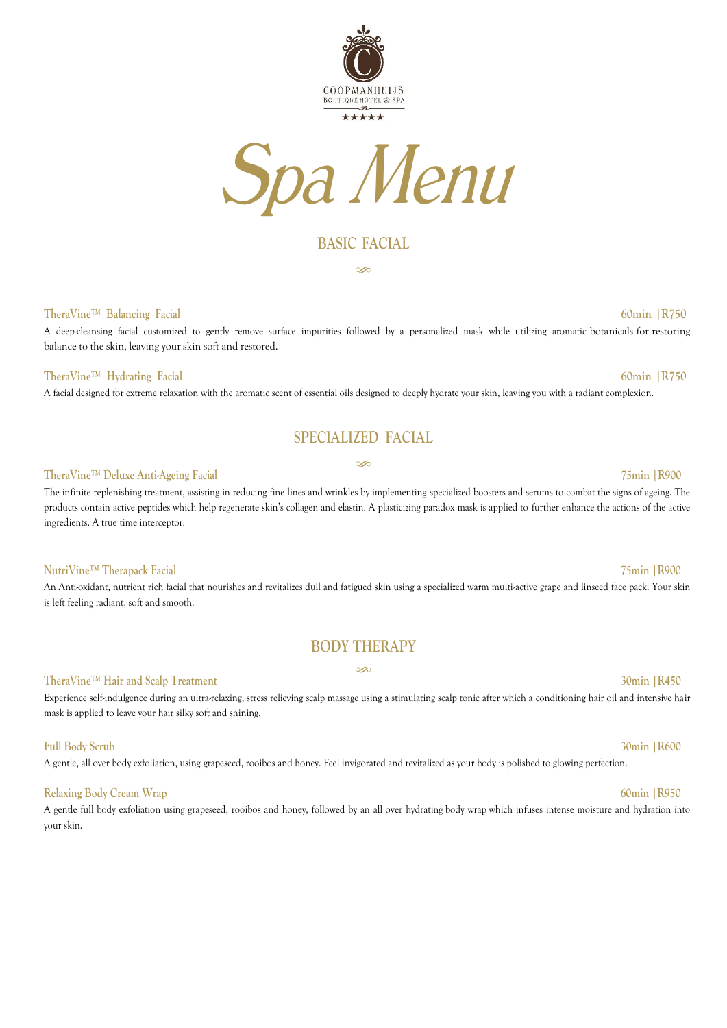



## **BASIC FACIAL**

S

### **TheraVine™ Balancing Facial 60min |R750**

A deep-cleansing facial customized to gently remove surface impurities followed by a personalized mask while utilizing aromatic botanicals for restoring balance to the skin, leaving your skin soft and restored.

### **TheraVine™ Hydrating Facial 60min |R750**

A facial designed for extreme relaxation with the aromatic scent of essential oils designed to deeply hydrate your skin, leaving you with a radiant complexion.

## **SPECIALIZED FACIAL**

Ä

### **TheraVine™ Deluxe Anti-Ageing Facial 75min |R900**

The infinite replenishing treatment, assisting in reducing fine lines and wrinkles by implementing specialized boosters and serums to combat the signs of ageing. The products contain active peptides which help regenerate skin's collagen and elastin. A plasticizing paradox mask is applied to further enhance the actions of the active ingredients. A true time interceptor.

### **NutriVine™ Therapack Facial 75min |R900**

An Anti-oxidant, nutrient rich facial that nourishes and revitalizes dull and fatigued skin using a specialized warm multi-active grape and linseed face pack. Your skin is left feeling radiant, soft and smooth.

## **BODY THERAPY** Š

### **TheraVine™ Hair and Scalp Treatment 30min |R450**

Experience self-indulgence during an ultra-relaxing, stress relieving scalp massage using a stimulating scalp tonic after which a conditioning hair oil and intensive hair mask is applied to leave your hair silky soft and shining.

### **Full Body Scrub 30min |R600**

A gentle, all over body exfoliation, using grapeseed, rooibos and honey. Feel invigorated and revitalized as your body is polished to glowing perfection.

### **Relaxing Body Cream Wrap 60min |R950**

A gentle full body exfoliation using grapeseed, rooibos and honey, followed by an all over hydrating [body wrap](https://orogold.com/skin-care/a-skin-routine-for-glowing-skin/) which infuses intense moisture and hydration into your skin.